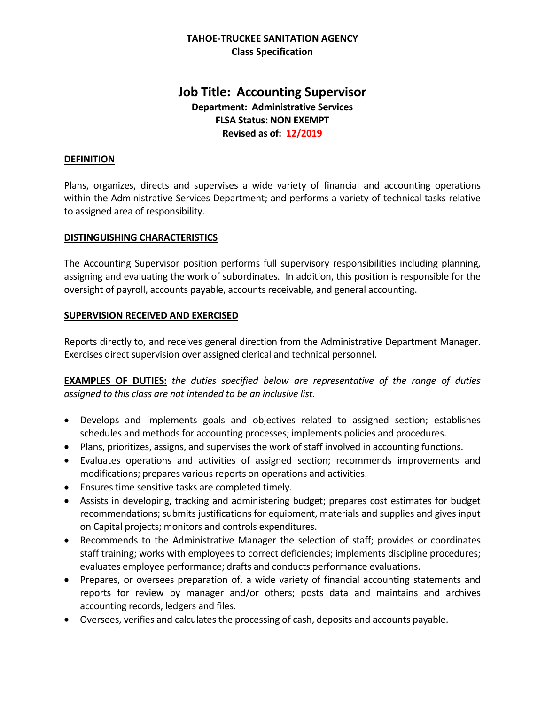# **TAHOE-TRUCKEE SANITATION AGENCY Class Specification**

# **Job Title: Accounting Supervisor Department: Administrative Services FLSA Status: NON EXEMPT Revised as of: 12/2019**

#### **DEFINITION**

Plans, organizes, directs and supervises a wide variety of financial and accounting operations within the Administrative Services Department; and performs a variety of technical tasks relative to assigned area of responsibility.

### **DISTINGUISHING CHARACTERISTICS**

The Accounting Supervisor position performs full supervisory responsibilities including planning, assigning and evaluating the work of subordinates. In addition, this position is responsible for the oversight of payroll, accounts payable, accounts receivable, and general accounting.

### **SUPERVISION RECEIVED AND EXERCISED**

Reports directly to, and receives general direction from the Administrative Department Manager. Exercises direct supervision over assigned clerical and technical personnel.

**EXAMPLES OF DUTIES:** *the duties specified below are representative of the range of duties assigned to this class are not intended to be an inclusive list.*

- Develops and implements goals and objectives related to assigned section; establishes schedules and methods for accounting processes; implements policies and procedures.
- Plans, prioritizes, assigns, and supervises the work of staff involved in accounting functions.
- Evaluates operations and activities of assigned section; recommends improvements and modifications; prepares various reports on operations and activities.
- Ensures time sensitive tasks are completed timely.
- Assists in developing, tracking and administering budget; prepares cost estimates for budget recommendations; submits justifications for equipment, materials and supplies and gives input on Capital projects; monitors and controls expenditures.
- Recommends to the Administrative Manager the selection of staff; provides or coordinates staff training; works with employees to correct deficiencies; implements discipline procedures; evaluates employee performance; drafts and conducts performance evaluations.
- Prepares, or oversees preparation of, a wide variety of financial accounting statements and reports for review by manager and/or others; posts data and maintains and archives accounting records, ledgers and files.
- Oversees, verifies and calculates the processing of cash, deposits and accounts payable.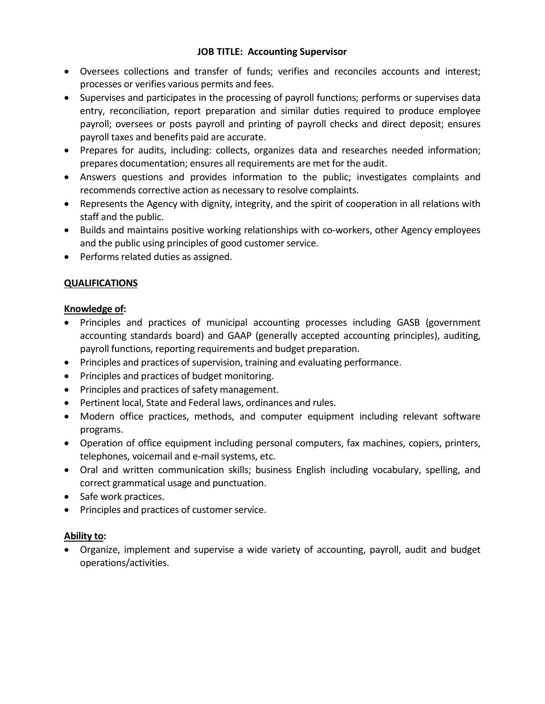# **JOB TITLE: Accounting Supervisor**

- Oversees collections and transfer of funds; verifies and reconciles accounts and interest; processes or verifies various permits and fees.
- Supervises and participates in the processing of payroll functions; performs or supervises data entry, reconciliation, report preparation and similar duties required to produce employee payroll; oversees or posts payroll and printing of payroll checks and direct deposit; ensures payroll taxes and benefits paid are accurate.
- Prepares for audits, including: collects, organizes data and researches needed information; prepares documentation; ensures all requirements are met for the audit.
- Answers questions and provides information to the public; investigates complaints and recommends corrective action as necessary to resolve complaints.
- Represents the Agency with dignity, integrity, and the spirit of cooperation in all relations with staff and the public.
- Builds and maintains positive working relationships with co-workers, other Agency employees and the public using principles of good customer service.
- Performs related duties as assigned.

# **QUALIFICATIONS**

# **Knowledge of:**

- Principles and practices of municipal accounting processes including GASB (government accounting standards board) and GAAP (generally accepted accounting principles), auditing, payroll functions, reporting requirements and budget preparation.
- Principles and practices of supervision, training and evaluating performance.
- Principles and practices of budget monitoring.
- Principles and practices of safety management.
- Pertinent local, State and Federal laws, ordinances and rules.
- Modern office practices, methods, and computer equipment including relevant software programs.
- Operation of office equipment including personal computers, fax machines, copiers, printers, telephones, voicemail and e-mail systems, etc.
- Oral and written communication skills; business English including vocabulary, spelling, and correct grammatical usage and punctuation.
- Safe work practices.
- Principles and practices of customer service.

# **Ability to:**

• Organize, implement and supervise a wide variety of accounting, payroll, audit and budget operations/activities.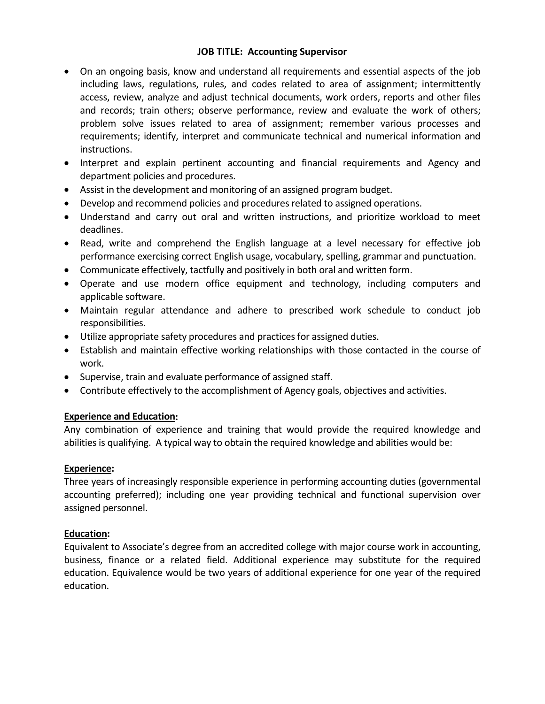# **JOB TITLE: Accounting Supervisor**

- On an ongoing basis, know and understand all requirements and essential aspects of the job including laws, regulations, rules, and codes related to area of assignment; intermittently access, review, analyze and adjust technical documents, work orders, reports and other files and records; train others; observe performance, review and evaluate the work of others; problem solve issues related to area of assignment; remember various processes and requirements; identify, interpret and communicate technical and numerical information and instructions.
- Interpret and explain pertinent accounting and financial requirements and Agency and department policies and procedures.
- Assist in the development and monitoring of an assigned program budget.
- Develop and recommend policies and procedures related to assigned operations.
- Understand and carry out oral and written instructions, and prioritize workload to meet deadlines.
- Read, write and comprehend the English language at a level necessary for effective job performance exercising correct English usage, vocabulary, spelling, grammar and punctuation.
- Communicate effectively, tactfully and positively in both oral and written form.
- Operate and use modern office equipment and technology, including computers and applicable software.
- Maintain regular attendance and adhere to prescribed work schedule to conduct job responsibilities.
- Utilize appropriate safety procedures and practices for assigned duties.
- Establish and maintain effective working relationships with those contacted in the course of work.
- Supervise, train and evaluate performance of assigned staff.
- Contribute effectively to the accomplishment of Agency goals, objectives and activities.

# **Experience and Education:**

Any combination of experience and training that would provide the required knowledge and abilities is qualifying. A typical way to obtain the required knowledge and abilities would be:

## **Experience:**

Three years of increasingly responsible experience in performing accounting duties (governmental accounting preferred); including one year providing technical and functional supervision over assigned personnel.

## **Education:**

Equivalent to Associate's degree from an accredited college with major course work in accounting, business, finance or a related field. Additional experience may substitute for the required education. Equivalence would be two years of additional experience for one year of the required education.